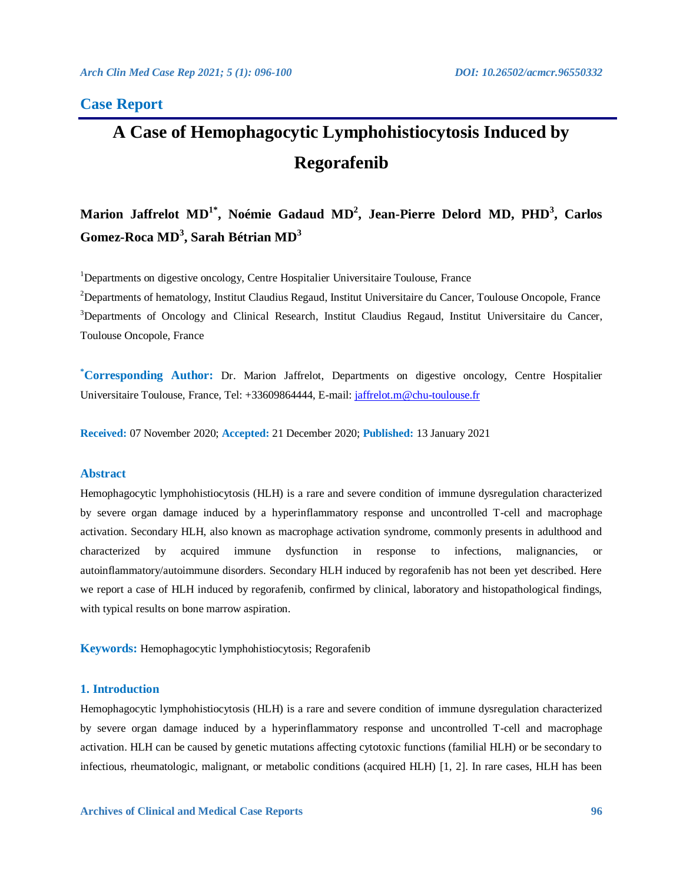### **Case Report**

# **A Case of Hemophagocytic Lymphohistiocytosis Induced by Regorafenib**

## **Marion Jaffrelot MD1\* , Noémie Gadaud MD<sup>2</sup> , Jean-Pierre Delord MD, PHD<sup>3</sup> , Carlos Gomez-Roca MD<sup>3</sup> , Sarah Bétrian MD<sup>3</sup>**

<sup>1</sup>Departments on digestive oncology, Centre Hospitalier Universitaire Toulouse, France

<sup>2</sup>Departments of hematology, Institut Claudius Regaud, Institut Universitaire du Cancer, Toulouse Oncopole, France <sup>3</sup>Departments of Oncology and Clinical Research, Institut Claudius Regaud, Institut Universitaire du Cancer, Toulouse Oncopole, France

**\*Corresponding Author:** Dr. Marion Jaffrelot, Departments on digestive oncology, Centre Hospitalier Universitaire Toulouse, France, Tel: +33609864444, E-mail: [jaffrelot.m@chu-toulouse.fr](mailto:jaffrelot.m@chu-toulouse.fr)

**Received:** 07 November 2020; **Accepted:** 21 December 2020; **Published:** 13 January 2021

#### **Abstract**

Hemophagocytic lymphohistiocytosis (HLH) is a rare and severe condition of immune dysregulation characterized by severe organ damage induced by a hyperinflammatory response and uncontrolled T-cell and macrophage activation. Secondary HLH, also known as macrophage activation syndrome, commonly presents in adulthood and characterized by acquired immune dysfunction in response to infections, malignancies, or autoinflammatory/autoimmune disorders. Secondary HLH induced by regorafenib has not been yet described. Here we report a case of HLH induced by regorafenib, confirmed by clinical, laboratory and histopathological findings, with typical results on bone marrow aspiration.

**Keywords:** Hemophagocytic lymphohistiocytosis; Regorafenib

#### **1. Introduction**

Hemophagocytic lymphohistiocytosis (HLH) is a rare and severe condition of immune dysregulation characterized by severe organ damage induced by a hyperinflammatory response and uncontrolled T-cell and macrophage activation. HLH can be caused by genetic mutations affecting cytotoxic functions (familial HLH) or be secondary to infectious, rheumatologic, malignant, or metabolic conditions (acquired HLH) [1, 2]. In rare cases, HLH has been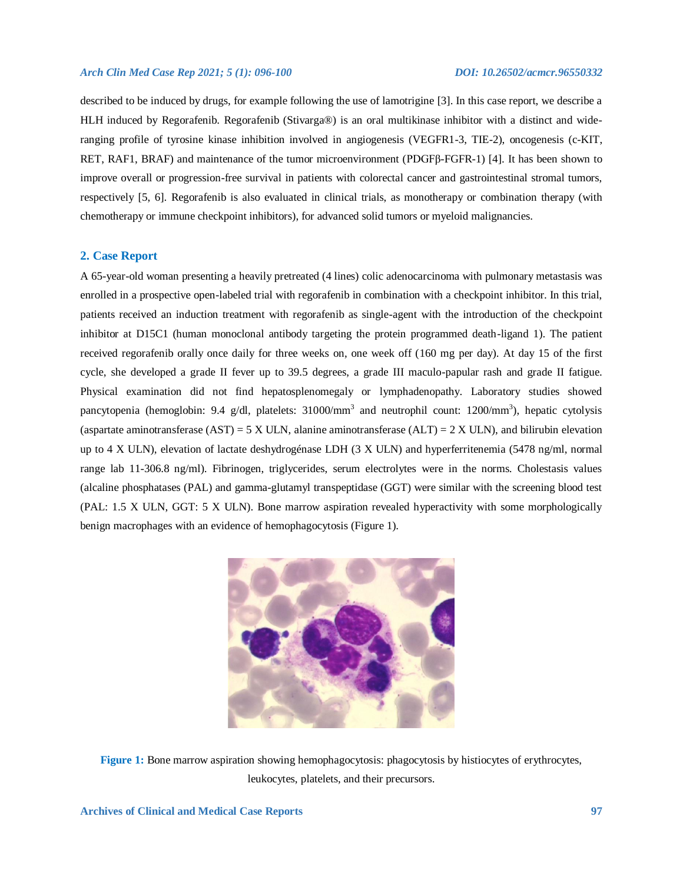#### *Arch Clin Med Case Rep 2021; 5 (1): 096-100 DOI: 10.26502/acmcr.96550332*

described to be induced by drugs, for example following the use of lamotrigine [3]. In this case report, we describe a HLH induced by Regorafenib. Regorafenib (Stivarga®) is an oral multikinase inhibitor with a distinct and wideranging profile of tyrosine kinase inhibition involved in angiogenesis (VEGFR1-3, TIE-2), oncogenesis (c-KIT, RET, RAF1, BRAF) and maintenance of the tumor microenvironment (PDGFβ-FGFR-1) [4]. It has been shown to improve overall or progression-free survival in patients with colorectal cancer and gastrointestinal stromal tumors, respectively [5, 6]. Regorafenib is also evaluated in clinical trials, as monotherapy or combination therapy (with chemotherapy or immune checkpoint inhibitors), for advanced solid tumors or myeloid malignancies.

#### **2. Case Report**

A 65-year-old woman presenting a heavily pretreated (4 lines) colic adenocarcinoma with pulmonary metastasis was enrolled in a prospective open-labeled trial with regorafenib in combination with a checkpoint inhibitor. In this trial, patients received an induction treatment with regorafenib as single-agent with the introduction of the checkpoint inhibitor at D15C1 (human monoclonal antibody targeting the protein programmed death-ligand 1). The patient received regorafenib orally once daily for three weeks on, one week off (160 mg per day). At day 15 of the first cycle, she developed a grade II fever up to 39.5 degrees, a grade III maculo-papular rash and grade II fatigue. Physical examination did not find hepatosplenomegaly or lymphadenopathy. Laboratory studies showed pancytopenia (hemoglobin: 9.4 g/dl, platelets: 31000/mm<sup>3</sup> and neutrophil count: 1200/mm<sup>3</sup>), hepatic cytolysis (aspartate aminotransferase  $(AST) = 5 \times ULN$ , alanine aminotransferase  $(ALT) = 2 \times ULN$ ), and bilirubin elevation up to 4 X ULN), elevation of lactate deshydrogénase LDH (3 X ULN) and hyperferritenemia (5478 ng/ml, normal range lab 11-306.8 ng/ml). Fibrinogen, triglycerides, serum electrolytes were in the norms. Cholestasis values (alcaline phosphatases (PAL) and gamma-glutamyl transpeptidase (GGT) were similar with the screening blood test (PAL: 1.5 X ULN, GGT: 5 X ULN). Bone marrow aspiration revealed hyperactivity with some morphologically benign macrophages with an evidence of hemophagocytosis (Figure 1).



Figure 1: Bone marrow aspiration showing hemophagocytosis: phagocytosis by histiocytes of erythrocytes, leukocytes, platelets, and their precursors.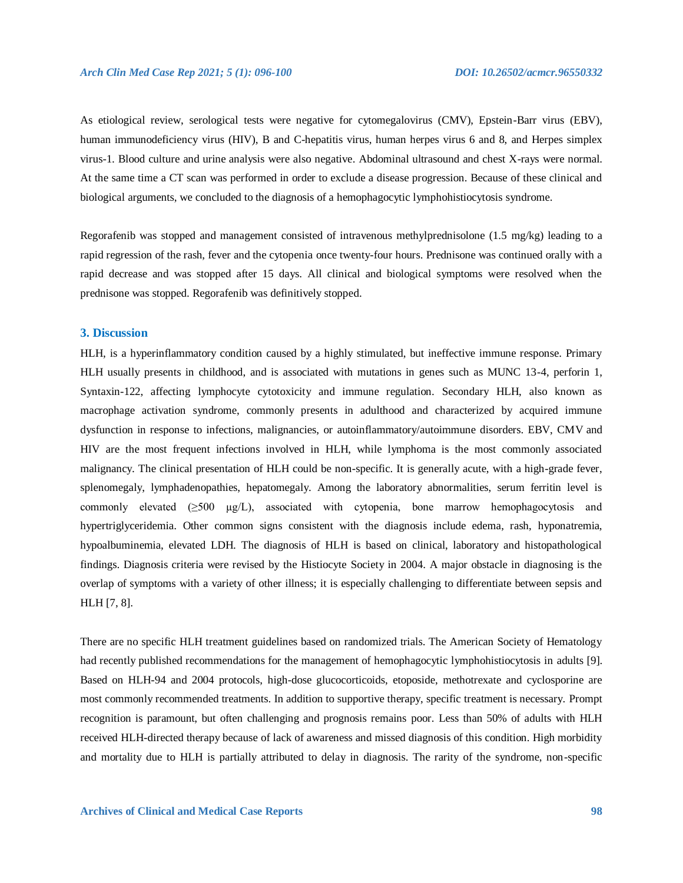As etiological review, serological tests were negative for cytomegalovirus (CMV), Epstein-Barr virus (EBV), human immunodeficiency virus (HIV), B and C-hepatitis virus, human herpes virus 6 and 8, and Herpes simplex virus-1. Blood culture and urine analysis were also negative. Abdominal ultrasound and chest X-rays were normal. At the same time a CT scan was performed in order to exclude a disease progression. Because of these clinical and biological arguments, we concluded to the diagnosis of a hemophagocytic lymphohistiocytosis syndrome.

Regorafenib was stopped and management consisted of intravenous methylprednisolone (1.5 mg/kg) leading to a rapid regression of the rash, fever and the cytopenia once twenty-four hours. Prednisone was continued orally with a rapid decrease and was stopped after 15 days. All clinical and biological symptoms were resolved when the prednisone was stopped. Regorafenib was definitively stopped.

#### **3. Discussion**

HLH, is a hyperinflammatory condition caused by a highly stimulated, but ineffective immune response. Primary HLH usually presents in childhood, and is associated with mutations in genes such as MUNC 13-4, perforin 1, Syntaxin-122, affecting lymphocyte cytotoxicity and immune regulation. Secondary HLH, also known as macrophage activation syndrome, commonly presents in adulthood and characterized by acquired immune dysfunction in response to infections, malignancies, or autoinflammatory/autoimmune disorders. EBV, CMV and HIV are the most frequent infections involved in HLH, while lymphoma is the most commonly associated malignancy. The clinical presentation of HLH could be non-specific. It is generally acute, with a high-grade fever, splenomegaly, lymphadenopathies, hepatomegaly. Among the laboratory abnormalities, serum ferritin level is commonly elevated (≥500 µg/L), associated with cytopenia, bone marrow hemophagocytosis and hypertriglyceridemia. Other common signs consistent with the diagnosis include edema, rash, hyponatremia, hypoalbuminemia, elevated LDH. The diagnosis of HLH is based on clinical, laboratory and histopathological findings. Diagnosis criteria were revised by the Histiocyte Society in 2004. A major obstacle in diagnosing is the overlap of symptoms with a variety of other illness; it is especially challenging to differentiate between sepsis and HLH [7, 8].

There are no specific HLH treatment guidelines based on randomized trials. The American Society of Hematology had recently published recommendations for the management of hemophagocytic lymphohistiocytosis in adults [9]. Based on HLH-94 and 2004 protocols, high-dose glucocorticoids, etoposide, methotrexate and cyclosporine are most commonly recommended treatments. In addition to supportive therapy, specific treatment is necessary. Prompt recognition is paramount, but often challenging and prognosis remains poor. Less than 50% of adults with HLH received HLH-directed therapy because of lack of awareness and missed diagnosis of this condition. High morbidity and mortality due to HLH is partially attributed to delay in diagnosis. The rarity of the syndrome, non-specific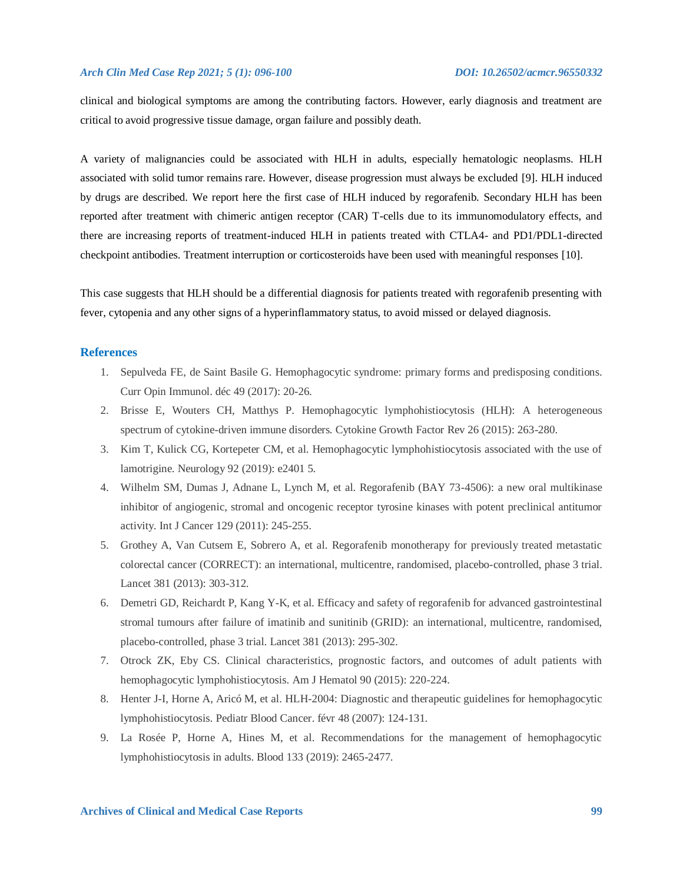clinical and biological symptoms are among the contributing factors. However, early diagnosis and treatment are critical to avoid progressive tissue damage, organ failure and possibly death.

A variety of malignancies could be associated with HLH in adults, especially hematologic neoplasms. HLH associated with solid tumor remains rare. However, disease progression must always be excluded [9]. HLH induced by drugs are described. We report here the first case of HLH induced by regorafenib. Secondary HLH has been reported after treatment with chimeric antigen receptor (CAR) T-cells due to its immunomodulatory effects, and there are increasing reports of treatment-induced HLH in patients treated with CTLA4- and PD1/PDL1-directed checkpoint antibodies. Treatment interruption or corticosteroids have been used with meaningful responses [10].

This case suggests that HLH should be a differential diagnosis for patients treated with regorafenib presenting with fever, cytopenia and any other signs of a hyperinflammatory status, to avoid missed or delayed diagnosis.

#### **References**

- 1. Sepulveda FE, de Saint Basile G. Hemophagocytic syndrome: primary forms and predisposing conditions. Curr Opin Immunol. déc 49 (2017): 20-26.
- 2. Brisse E, Wouters CH, Matthys P. Hemophagocytic lymphohistiocytosis (HLH): A heterogeneous spectrum of cytokine-driven immune disorders. Cytokine Growth Factor Rev 26 (2015): 263-280.
- 3. Kim T, Kulick CG, Kortepeter CM, et al. Hemophagocytic lymphohistiocytosis associated with the use of lamotrigine. Neurology 92 (2019): e2401 5.
- 4. Wilhelm SM, Dumas J, Adnane L, Lynch M, et al. Regorafenib (BAY 73-4506): a new oral multikinase inhibitor of angiogenic, stromal and oncogenic receptor tyrosine kinases with potent preclinical antitumor activity. Int J Cancer 129 (2011): 245-255.
- 5. Grothey A, Van Cutsem E, Sobrero A, et al. Regorafenib monotherapy for previously treated metastatic colorectal cancer (CORRECT): an international, multicentre, randomised, placebo-controlled, phase 3 trial. Lancet 381 (2013): 303-312.
- 6. Demetri GD, Reichardt P, Kang Y-K, et al. Efficacy and safety of regorafenib for advanced gastrointestinal stromal tumours after failure of imatinib and sunitinib (GRID): an international, multicentre, randomised, placebo-controlled, phase 3 trial. Lancet 381 (2013): 295-302.
- 7. Otrock ZK, Eby CS. Clinical characteristics, prognostic factors, and outcomes of adult patients with hemophagocytic lymphohistiocytosis. Am J Hematol 90 (2015): 220-224.
- 8. Henter J-I, Horne A, Aricó M, et al. HLH-2004: Diagnostic and therapeutic guidelines for hemophagocytic lymphohistiocytosis. Pediatr Blood Cancer. févr 48 (2007): 124-131.
- 9. La Rosée P, Horne A, Hines M, et al. Recommendations for the management of hemophagocytic lymphohistiocytosis in adults. Blood 133 (2019): 2465-2477.